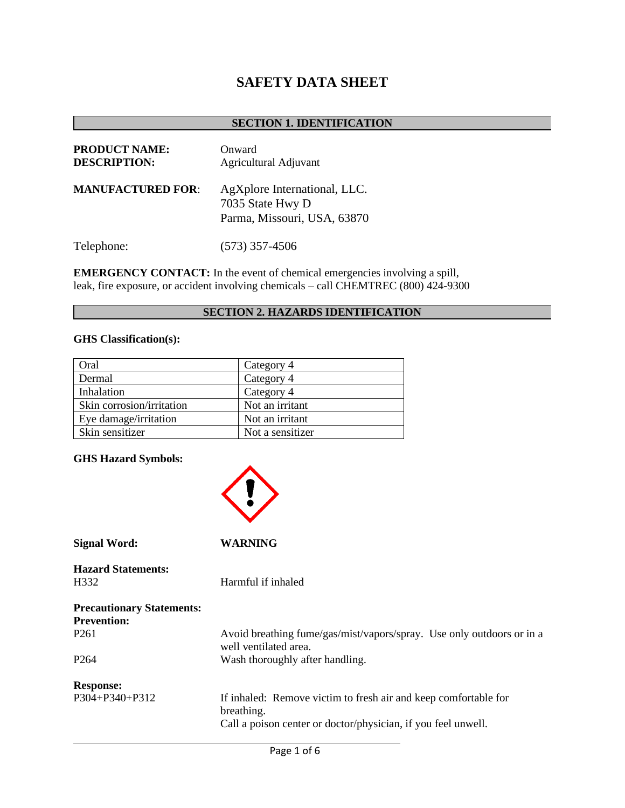# **SAFETY DATA SHEET**

#### **SECTION 1. IDENTIFICATION**

| <b>PRODUCT NAME:</b><br><b>DESCRIPTION:</b> | Onward<br>Agricultural Adjuvant                                                 |
|---------------------------------------------|---------------------------------------------------------------------------------|
| <b>MANUFACTURED FOR:</b>                    | AgXplore International, LLC.<br>7035 State Hwy D<br>Parma, Missouri, USA, 63870 |
| Telephone:                                  | $(573)$ 357-4506                                                                |

**EMERGENCY CONTACT:** In the event of chemical emergencies involving a spill, leak, fire exposure, or accident involving chemicals – call CHEMTREC (800) 424-9300

# **SECTION 2. HAZARDS IDENTIFICATION**

## **GHS Classification(s):**

| Oral                      | Category 4       |
|---------------------------|------------------|
| Dermal                    | Category 4       |
| Inhalation                | Category 4       |
| Skin corrosion/irritation | Not an irritant  |
| Eye damage/irritation     | Not an irritant  |
| Skin sensitizer           | Not a sensitizer |

#### **GHS Hazard Symbols:**

| <b>Signal Word:</b>                                    | WARNING                                                                                                                                        |
|--------------------------------------------------------|------------------------------------------------------------------------------------------------------------------------------------------------|
| <b>Hazard Statements:</b><br>H332                      | Harmful if inhaled                                                                                                                             |
| <b>Precautionary Statements:</b><br><b>Prevention:</b> |                                                                                                                                                |
| P <sub>261</sub>                                       | Avoid breathing fume/gas/mist/vapors/spray. Use only outdoors or in a<br>well ventilated area.                                                 |
| P <sub>264</sub>                                       | Wash thoroughly after handling.                                                                                                                |
| <b>Response:</b>                                       |                                                                                                                                                |
| P304+P340+P312                                         | If inhaled: Remove victim to fresh air and keep comfortable for<br>breathing.<br>Call a poison center or doctor/physician, if you feel unwell. |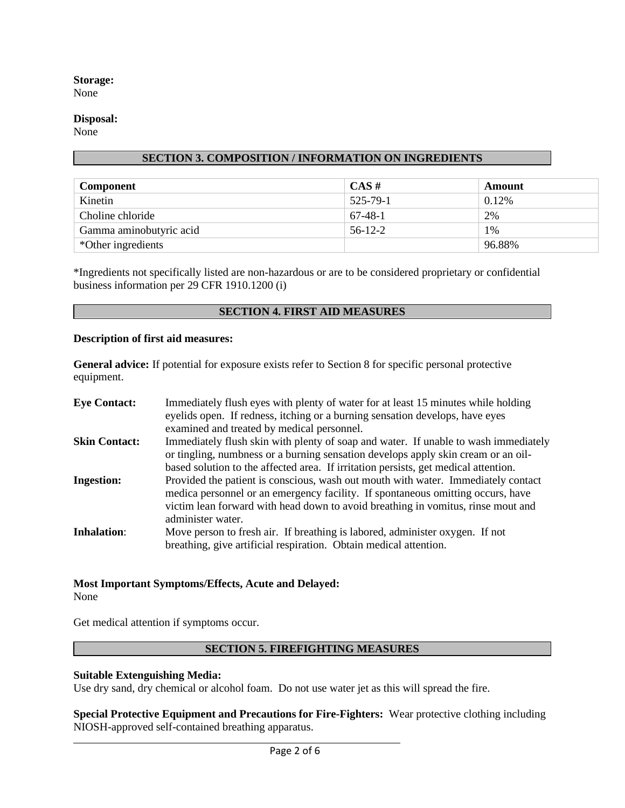# **Storage:**

None

## **Disposal:**

None

#### **SECTION 3. COMPOSITION / INFORMATION ON INGREDIENTS**

| <b>Component</b>        | $CAS \#$  | Amount |
|-------------------------|-----------|--------|
| Kinetin                 | 525-79-1  | 0.12%  |
| Choline chloride        | 67-48-1   | 2%     |
| Gamma aminobutyric acid | $56-12-2$ | $1\%$  |
| *Other ingredients      |           | 96.88% |

\*Ingredients not specifically listed are non-hazardous or are to be considered proprietary or confidential business information per 29 CFR 1910.1200 (i)

## **SECTION 4. FIRST AID MEASURES**

#### **Description of first aid measures:**

**General advice:** If potential for exposure exists refer to Section 8 for specific personal protective equipment.

| <b>Eye Contact:</b>  | Immediately flush eyes with plenty of water for at least 15 minutes while holding<br>eyelids open. If redness, itching or a burning sensation develops, have eyes<br>examined and treated by medical personnel.                                                               |
|----------------------|-------------------------------------------------------------------------------------------------------------------------------------------------------------------------------------------------------------------------------------------------------------------------------|
| <b>Skin Contact:</b> | Immediately flush skin with plenty of soap and water. If unable to wash immediately<br>or tingling, numbress or a burning sensation develops apply skin cream or an oil-<br>based solution to the affected area. If irritation persists, get medical attention.               |
| <b>Ingestion:</b>    | Provided the patient is conscious, wash out mouth with water. Immediately contact<br>medica personnel or an emergency facility. If spontaneous omitting occurs, have<br>victim lean forward with head down to avoid breathing in vomitus, rinse mout and<br>administer water. |
| <b>Inhalation:</b>   | Move person to fresh air. If breathing is labored, administer oxygen. If not<br>breathing, give artificial respiration. Obtain medical attention.                                                                                                                             |

# **Most Important Symptoms/Effects, Acute and Delayed:**

None

Get medical attention if symptoms occur.

# **SECTION 5. FIREFIGHTING MEASURES**

#### **Suitable Extenguishing Media:**

Use dry sand, dry chemical or alcohol foam. Do not use water jet as this will spread the fire.

**Special Protective Equipment and Precautions for Fire-Fighters:** Wear protective clothing including NIOSH-approved self-contained breathing apparatus.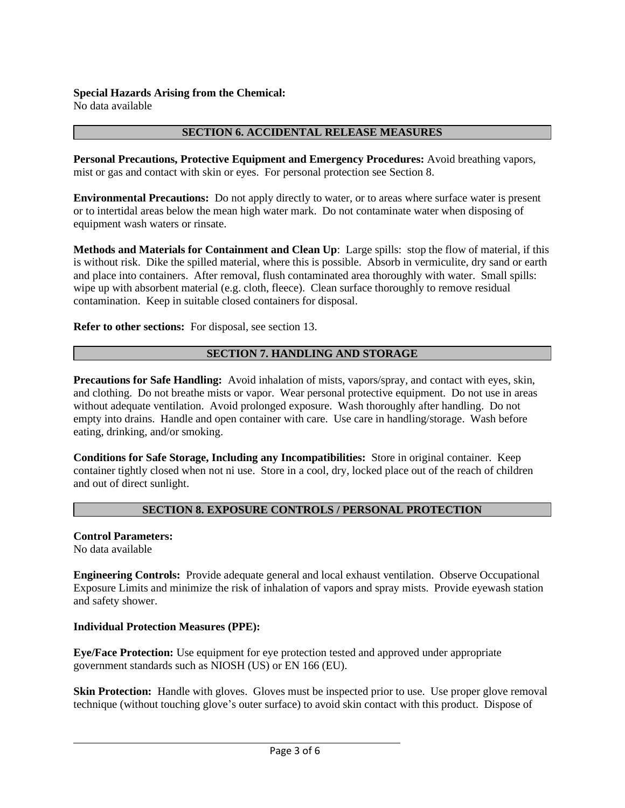No data available

#### **SECTION 6. ACCIDENTAL RELEASE MEASURES**

**Personal Precautions, Protective Equipment and Emergency Procedures:** Avoid breathing vapors, mist or gas and contact with skin or eyes. For personal protection see Section 8.

**Environmental Precautions:** Do not apply directly to water, or to areas where surface water is present or to intertidal areas below the mean high water mark. Do not contaminate water when disposing of equipment wash waters or rinsate.

**Methods and Materials for Containment and Clean Up**: Large spills: stop the flow of material, if this is without risk. Dike the spilled material, where this is possible. Absorb in vermiculite, dry sand or earth and place into containers. After removal, flush contaminated area thoroughly with water. Small spills: wipe up with absorbent material (e.g. cloth, fleece). Clean surface thoroughly to remove residual contamination. Keep in suitable closed containers for disposal.

**Refer to other sections:** For disposal, see section 13.

## **SECTION 7. HANDLING AND STORAGE**

**Precautions for Safe Handling:** Avoid inhalation of mists, vapors/spray, and contact with eyes, skin, and clothing. Do not breathe mists or vapor. Wear personal protective equipment. Do not use in areas without adequate ventilation. Avoid prolonged exposure. Wash thoroughly after handling. Do not empty into drains. Handle and open container with care. Use care in handling/storage. Wash before eating, drinking, and/or smoking.

**Conditions for Safe Storage, Including any Incompatibilities:** Store in original container. Keep container tightly closed when not ni use. Store in a cool, dry, locked place out of the reach of children and out of direct sunlight.

#### **SECTION 8. EXPOSURE CONTROLS / PERSONAL PROTECTION**

**Control Parameters:** No data available

**Engineering Controls:** Provide adequate general and local exhaust ventilation. Observe Occupational Exposure Limits and minimize the risk of inhalation of vapors and spray mists. Provide eyewash station and safety shower.

#### **Individual Protection Measures (PPE):**

**Eye/Face Protection:** Use equipment for eye protection tested and approved under appropriate government standards such as NIOSH (US) or EN 166 (EU).

**Skin Protection:** Handle with gloves. Gloves must be inspected prior to use. Use proper glove removal technique (without touching glove's outer surface) to avoid skin contact with this product. Dispose of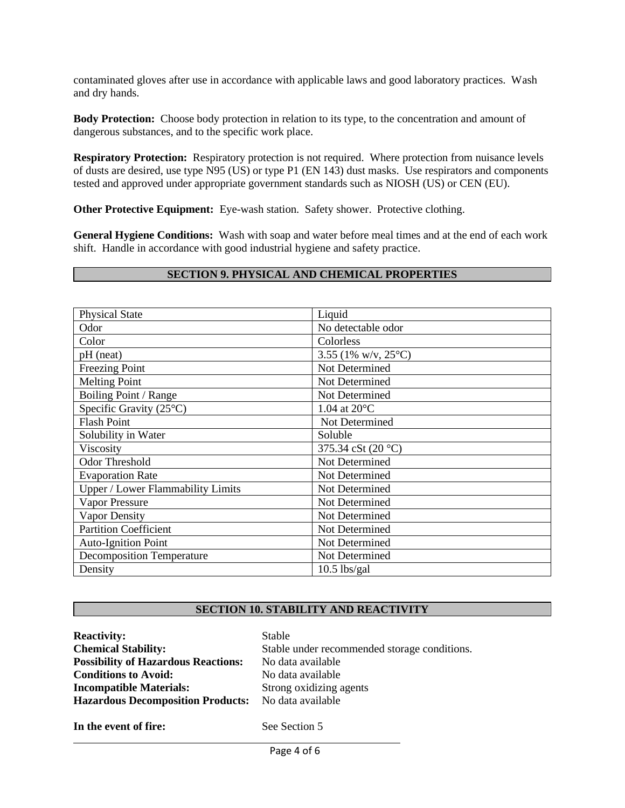contaminated gloves after use in accordance with applicable laws and good laboratory practices. Wash and dry hands.

**Body Protection:** Choose body protection in relation to its type, to the concentration and amount of dangerous substances, and to the specific work place.

**Respiratory Protection:** Respiratory protection is not required. Where protection from nuisance levels of dusts are desired, use type N95 (US) or type P1 (EN 143) dust masks. Use respirators and components tested and approved under appropriate government standards such as NIOSH (US) or CEN (EU).

**Other Protective Equipment:** Eye-wash station. Safety shower. Protective clothing.

**General Hygiene Conditions:** Wash with soap and water before meal times and at the end of each work shift. Handle in accordance with good industrial hygiene and safety practice.

#### **SECTION 9. PHYSICAL AND CHEMICAL PROPERTIES**

| <b>Physical State</b>                    | Liquid                        |
|------------------------------------------|-------------------------------|
| Odor                                     | No detectable odor            |
| Color                                    | Colorless                     |
| pH (neat)                                | 3.55 (1% w/v, $25^{\circ}$ C) |
| <b>Freezing Point</b>                    | Not Determined                |
| <b>Melting Point</b>                     | Not Determined                |
| Boiling Point / Range                    | Not Determined                |
| Specific Gravity $(25^{\circ}C)$         | 1.04 at $20^{\circ}$ C        |
| <b>Flash Point</b>                       | Not Determined                |
| Solubility in Water                      | Soluble                       |
| Viscosity                                | 375.34 cSt (20 °C)            |
| <b>Odor Threshold</b>                    | Not Determined                |
| <b>Evaporation Rate</b>                  | Not Determined                |
| <b>Upper / Lower Flammability Limits</b> | Not Determined                |
| <b>Vapor Pressure</b>                    | Not Determined                |
| Vapor Density                            | Not Determined                |
| <b>Partition Coefficient</b>             | Not Determined                |
| <b>Auto-Ignition Point</b>               | Not Determined                |
| <b>Decomposition Temperature</b>         | Not Determined                |
| Density                                  | $10.5$ lbs/gal                |

#### **SECTION 10. STABILITY AND REACTIVITY**

| <b>Reactivity:</b>                         | <b>Stable</b>                                |
|--------------------------------------------|----------------------------------------------|
| <b>Chemical Stability:</b>                 | Stable under recommended storage conditions. |
| <b>Possibility of Hazardous Reactions:</b> | No data available                            |
| <b>Conditions to Avoid:</b>                | No data available                            |
| <b>Incompatible Materials:</b>             | Strong oxidizing agents                      |
| <b>Hazardous Decomposition Products:</b>   | No data available                            |
| In the event of fire:                      | See Section 5                                |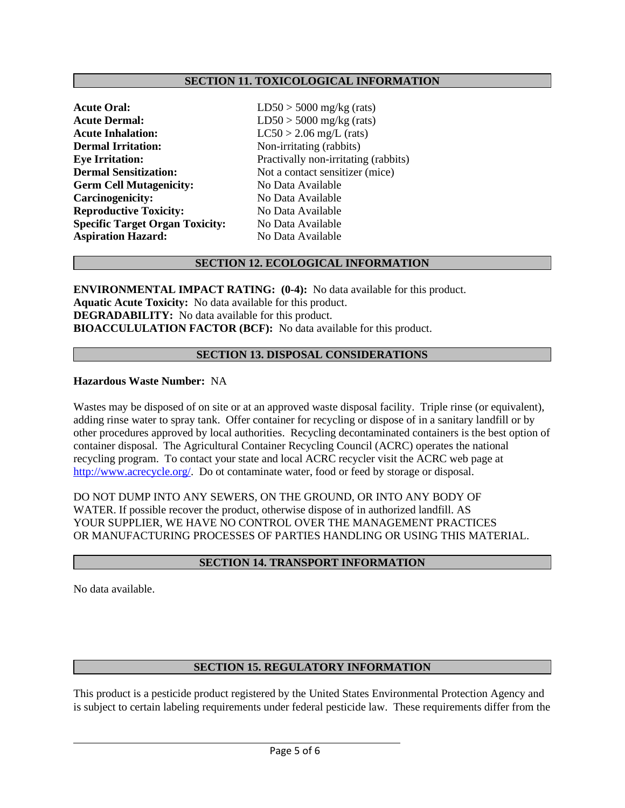#### **SECTION 11. TOXICOLOGICAL INFORMATION**

| <b>Acute Oral:</b>                     | LD <sub>5</sub> |
|----------------------------------------|-----------------|
| <b>Acute Dermal:</b>                   | LD5             |
| <b>Acute Inhalation:</b>               | LC5             |
| <b>Dermal Irritation:</b>              | $Non-$          |
| <b>Eye Irritation:</b>                 | Prac            |
| <b>Dermal Sensitization:</b>           | Not a           |
| <b>Germ Cell Mutagenicity:</b>         | No I            |
| Carcinogenicity:                       | No I            |
| <b>Reproductive Toxicity:</b>          | No I            |
| <b>Specific Target Organ Toxicity:</b> | No I            |
| <b>Aspiration Hazard:</b>              | No I            |

 $0$  > 5000 mg/kg (rats)  $60 > 5000$  mg/kg (rats)  $0 > 2.06$  mg/L (rats) *<u>irritating</u>* (rabbits) **E** Evally non-irritating (rabbits) a contact sensitizer (mice) **Jata Available Cara Available Reproductive Towich Street Specific Target Organ Toxicity:** No Data Available **Aspiration Hazard:** No Data Available

#### **SECTION 12. ECOLOGICAL INFORMATION**

**ENVIRONMENTAL IMPACT RATING: (0-4):** No data available for this product. **Aquatic Acute Toxicity:** No data available for this product. **DEGRADABILITY:** No data available for this product. **BIOACCULULATION FACTOR (BCF):** No data available for this product.

#### **SECTION 13. DISPOSAL CONSIDERATIONS**

#### **Hazardous Waste Number:** NA

Wastes may be disposed of on site or at an approved waste disposal facility. Triple rinse (or equivalent), adding rinse water to spray tank. Offer container for recycling or dispose of in a sanitary landfill or by other procedures approved by local authorities. Recycling decontaminated containers is the best option of container disposal. The Agricultural Container Recycling Council (ACRC) operates the national recycling program. To contact your state and local ACRC recycler visit the ACRC web page at [http://www.acrecycle.org/.](http://www.acrecycle.org/) Do ot contaminate water, food or feed by storage or disposal.

DO NOT DUMP INTO ANY SEWERS, ON THE GROUND, OR INTO ANY BODY OF WATER. If possible recover the product, otherwise dispose of in authorized landfill. AS YOUR SUPPLIER, WE HAVE NO CONTROL OVER THE MANAGEMENT PRACTICES OR MANUFACTURING PROCESSES OF PARTIES HANDLING OR USING THIS MATERIAL.

#### **SECTION 14. TRANSPORT INFORMATION**

No data available.

#### **SECTION 15. REGULATORY INFORMATION**

This product is a pesticide product registered by the United States Environmental Protection Agency and is subject to certain labeling requirements under federal pesticide law. These requirements differ from the